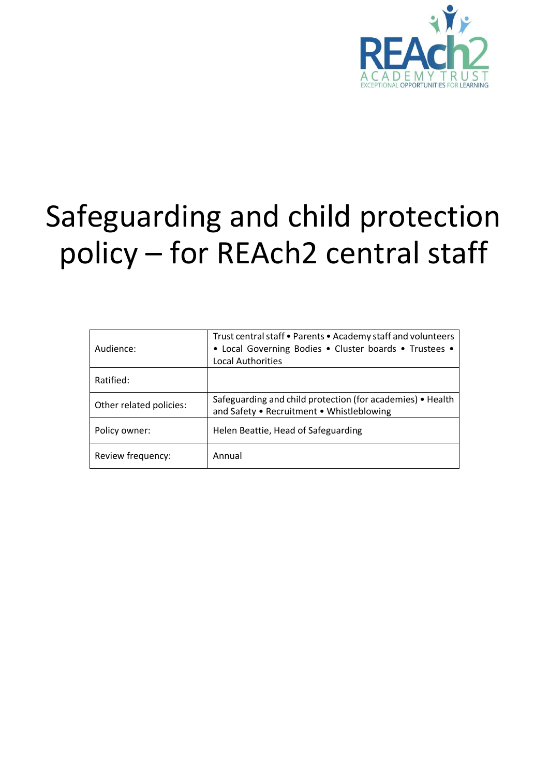

# Safeguarding and child protection policy – for REAch2 central staff

| Audience:               | Trust central staff . Parents . Academy staff and volunteers<br>• Local Governing Bodies • Cluster boards • Trustees •<br><b>Local Authorities</b> |  |
|-------------------------|----------------------------------------------------------------------------------------------------------------------------------------------------|--|
| Ratified:               |                                                                                                                                                    |  |
| Other related policies: | Safeguarding and child protection (for academies) • Health<br>and Safety . Recruitment . Whistleblowing                                            |  |
| Policy owner:           | Helen Beattie, Head of Safeguarding                                                                                                                |  |
| Review frequency:       | Annual                                                                                                                                             |  |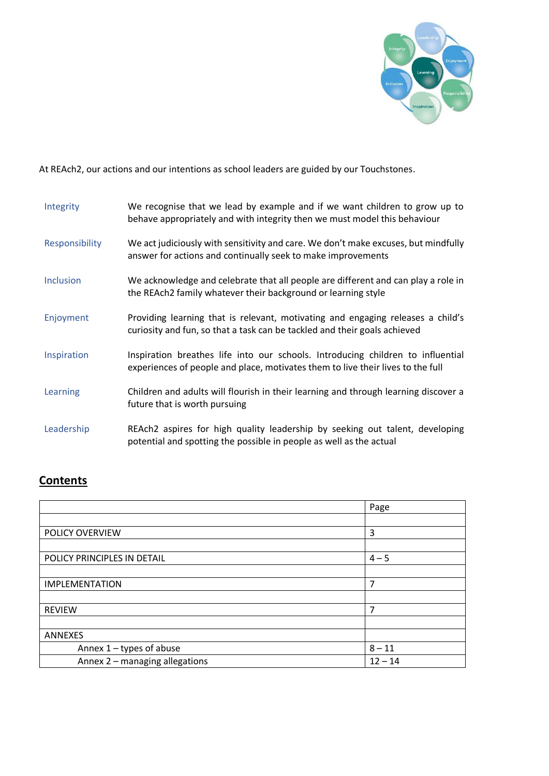

At REAch2, our actions and our intentions as school leaders are guided by our Touchstones.

| Integrity      | We recognise that we lead by example and if we want children to grow up to<br>behave appropriately and with integrity then we must model this behaviour            |
|----------------|--------------------------------------------------------------------------------------------------------------------------------------------------------------------|
| Responsibility | We act judiciously with sensitivity and care. We don't make excuses, but mindfully<br>answer for actions and continually seek to make improvements                 |
| Inclusion      | We acknowledge and celebrate that all people are different and can play a role in<br>the REAch2 family whatever their background or learning style                 |
| Enjoyment      | Providing learning that is relevant, motivating and engaging releases a child's<br>curiosity and fun, so that a task can be tackled and their goals achieved       |
| Inspiration    | Inspiration breathes life into our schools. Introducing children to influential<br>experiences of people and place, motivates them to live their lives to the full |
| Learning       | Children and adults will flourish in their learning and through learning discover a<br>future that is worth pursuing                                               |
| Leadership     | REAch2 aspires for high quality leadership by seeking out talent, developing<br>potential and spotting the possible in people as well as the actual                |

## **Contents**

|                                | Page      |
|--------------------------------|-----------|
|                                |           |
| POLICY OVERVIEW                | 3         |
|                                |           |
| POLICY PRINCIPLES IN DETAIL    | $4 - 5$   |
|                                |           |
| <b>IMPLEMENTATION</b>          | 7         |
|                                |           |
| <b>REVIEW</b>                  | 7         |
|                                |           |
| <b>ANNEXES</b>                 |           |
| Annex 1 - types of abuse       | $8 - 11$  |
| Annex 2 - managing allegations | $12 - 14$ |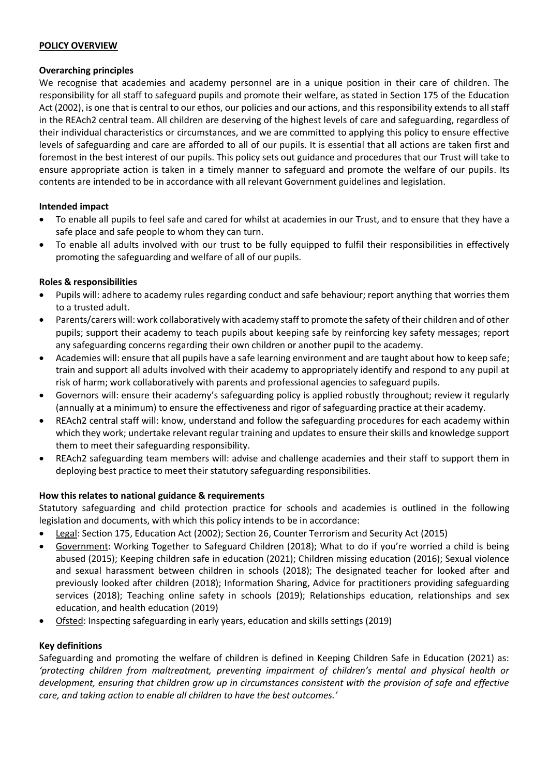#### **POLICY OVERVIEW**

## **Overarching principles**

We recognise that academies and academy personnel are in a unique position in their care of children. The responsibility for all staff to safeguard pupils and promote their welfare, as stated in Section 175 of the Education Act (2002), is one that is central to our ethos, our policies and our actions, and this responsibility extends to all staff in the REAch2 central team. All children are deserving of the highest levels of care and safeguarding, regardless of their individual characteristics or circumstances, and we are committed to applying this policy to ensure effective levels of safeguarding and care are afforded to all of our pupils. It is essential that all actions are taken first and foremost in the best interest of our pupils. This policy sets out guidance and procedures that our Trust will take to ensure appropriate action is taken in a timely manner to safeguard and promote the welfare of our pupils. Its contents are intended to be in accordance with all relevant Government guidelines and legislation.

## **Intended impact**

- To enable all pupils to feel safe and cared for whilst at academies in our Trust, and to ensure that they have a safe place and safe people to whom they can turn.
- To enable all adults involved with our trust to be fully equipped to fulfil their responsibilities in effectively promoting the safeguarding and welfare of all of our pupils.

## **Roles & responsibilities**

- Pupils will: adhere to academy rules regarding conduct and safe behaviour; report anything that worries them to a trusted adult.
- Parents/carers will: work collaboratively with academy staff to promote the safety of their children and of other pupils; support their academy to teach pupils about keeping safe by reinforcing key safety messages; report any safeguarding concerns regarding their own children or another pupil to the academy.
- Academies will: ensure that all pupils have a safe learning environment and are taught about how to keep safe; train and support all adults involved with their academy to appropriately identify and respond to any pupil at risk of harm; work collaboratively with parents and professional agencies to safeguard pupils.
- Governors will: ensure their academy's safeguarding policy is applied robustly throughout; review it regularly (annually at a minimum) to ensure the effectiveness and rigor of safeguarding practice at their academy.
- REAch2 central staff will: know, understand and follow the safeguarding procedures for each academy within which they work; undertake relevant regular training and updates to ensure their skills and knowledge support them to meet their safeguarding responsibility.
- REAch2 safeguarding team members will: advise and challenge academies and their staff to support them in deploying best practice to meet their statutory safeguarding responsibilities.

## **How this relates to national guidance & requirements**

Statutory safeguarding and child protection practice for schools and academies is outlined in the following legislation and documents, with which this policy intends to be in accordance:

- Legal: Section 175, Education Act (2002); Section 26, Counter Terrorism and Security Act (2015)
- Government: Working Together to Safeguard Children (2018); What to do if you're worried a child is being abused (2015); Keeping children safe in education (2021); Children missing education (2016); Sexual violence and sexual harassment between children in schools (2018); The designated teacher for looked after and previously looked after children (2018); Information Sharing, Advice for practitioners providing safeguarding services (2018); Teaching online safety in schools (2019); Relationships education, relationships and sex education, and health education (2019)
- Ofsted: Inspecting safeguarding in early years, education and skills settings (2019)

## **Key definitions**

Safeguarding and promoting the welfare of children is defined in Keeping Children Safe in Education (2021) as: *'protecting children from maltreatment, preventing impairment of children's mental and physical health or development, ensuring that children grow up in circumstances consistent with the provision of safe and effective care, and taking action to enable all children to have the best outcomes.'*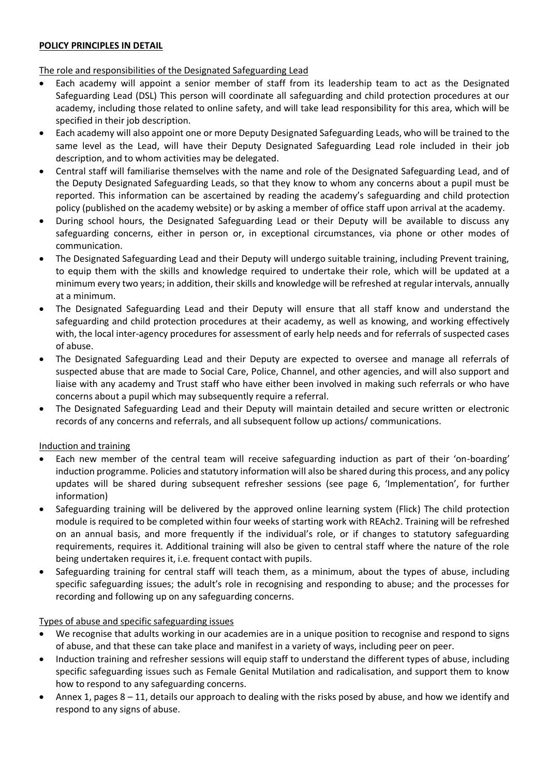## **POLICY PRINCIPLES IN DETAIL**

The role and responsibilities of the Designated Safeguarding Lead

- Each academy will appoint a senior member of staff from its leadership team to act as the Designated Safeguarding Lead (DSL) This person will coordinate all safeguarding and child protection procedures at our academy, including those related to online safety, and will take lead responsibility for this area, which will be specified in their job description.
- Each academy will also appoint one or more Deputy Designated Safeguarding Leads, who will be trained to the same level as the Lead, will have their Deputy Designated Safeguarding Lead role included in their job description, and to whom activities may be delegated.
- Central staff will familiarise themselves with the name and role of the Designated Safeguarding Lead, and of the Deputy Designated Safeguarding Leads, so that they know to whom any concerns about a pupil must be reported. This information can be ascertained by reading the academy's safeguarding and child protection policy (published on the academy website) or by asking a member of office staff upon arrival at the academy.
- During school hours, the Designated Safeguarding Lead or their Deputy will be available to discuss any safeguarding concerns, either in person or, in exceptional circumstances, via phone or other modes of communication.
- The Designated Safeguarding Lead and their Deputy will undergo suitable training, including Prevent training, to equip them with the skills and knowledge required to undertake their role, which will be updated at a minimum every two years; in addition, their skills and knowledge will be refreshed at regular intervals, annually at a minimum.
- The Designated Safeguarding Lead and their Deputy will ensure that all staff know and understand the safeguarding and child protection procedures at their academy, as well as knowing, and working effectively with, the local inter-agency procedures for assessment of early help needs and for referrals of suspected cases of abuse.
- The Designated Safeguarding Lead and their Deputy are expected to oversee and manage all referrals of suspected abuse that are made to Social Care, Police, Channel, and other agencies, and will also support and liaise with any academy and Trust staff who have either been involved in making such referrals or who have concerns about a pupil which may subsequently require a referral.
- The Designated Safeguarding Lead and their Deputy will maintain detailed and secure written or electronic records of any concerns and referrals, and all subsequent follow up actions/ communications.

## Induction and training

- Each new member of the central team will receive safeguarding induction as part of their 'on-boarding' induction programme. Policies and statutory information will also be shared during this process, and any policy updates will be shared during subsequent refresher sessions (see page 6, 'Implementation', for further information)
- Safeguarding training will be delivered by the approved online learning system (Flick) The child protection module is required to be completed within four weeks of starting work with REAch2. Training will be refreshed on an annual basis, and more frequently if the individual's role, or if changes to statutory safeguarding requirements, requires it. Additional training will also be given to central staff where the nature of the role being undertaken requires it, i.e. frequent contact with pupils.
- Safeguarding training for central staff will teach them, as a minimum, about the types of abuse, including specific safeguarding issues; the adult's role in recognising and responding to abuse; and the processes for recording and following up on any safeguarding concerns.

#### Types of abuse and specific safeguarding issues

- We recognise that adults working in our academies are in a unique position to recognise and respond to signs of abuse, and that these can take place and manifest in a variety of ways, including peer on peer.
- Induction training and refresher sessions will equip staff to understand the different types of abuse, including specific safeguarding issues such as Female Genital Mutilation and radicalisation, and support them to know how to respond to any safeguarding concerns.
- Annex 1, pages 8 11, details our approach to dealing with the risks posed by abuse, and how we identify and respond to any signs of abuse.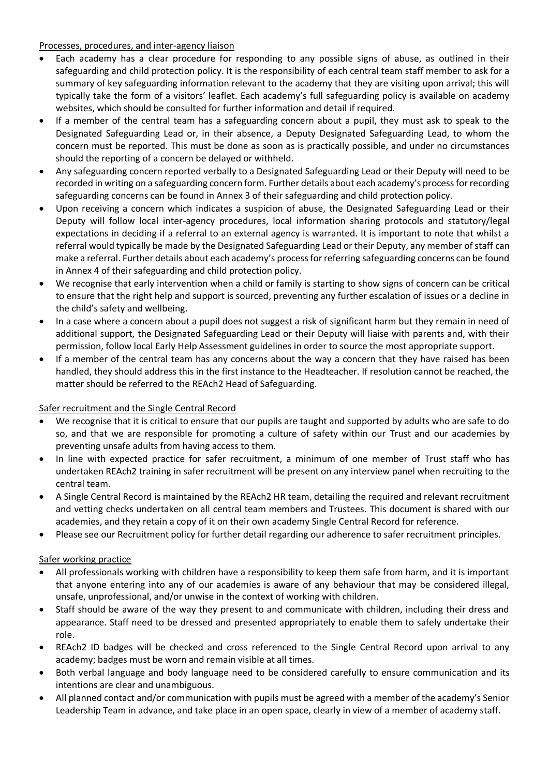Processes, procedures, and inter-agency liaison

- Each academy has a clear procedure for responding to any possible signs of abuse, as outlined in their safeguarding and child protection policy. It is the responsibility of each central team staff member to ask for a summary of key safeguarding information relevant to the academy that they are visiting upon arrival; this will typically take the form of a visitors' leaflet. Each academy's full safeguarding policy is available on academy websites, which should be consulted for further information and detail if required.
- If a member of the central team has a safeguarding concern about a pupil, they must ask to speak to the Designated Safeguarding Lead or, in their absence, a Deputy Designated Safeguarding Lead, to whom the concern must be reported. This must be done as soon as is practically possible, and under no circumstances should the reporting of a concern be delayed or withheld.
- Any safeguarding concern reported verbally to a Designated Safeguarding Lead or their Deputy will need to be recorded in writing on a safeguarding concern form. Further details about each academy's process for recording safeguarding concerns can be found in Annex 3 of their safeguarding and child protection policy.
- Upon receiving a concern which indicates a suspicion of abuse, the Designated Safeguarding Lead or their Deputy will follow local inter-agency procedures, local information sharing protocols and statutory/legal expectations in deciding if a referral to an external agency is warranted. It is important to note that whilst a referral would typically be made by the Designated Safeguarding Lead or their Deputy, any member of staff can make a referral. Further details about each academy's process for referring safeguarding concerns can be found in Annex 4 of their safeguarding and child protection policy.
- We recognise that early intervention when a child or family is starting to show signs of concern can be critical to ensure that the right help and support is sourced, preventing any further escalation of issues or a decline in the child's safety and wellbeing.
- In a case where a concern about a pupil does not suggest a risk of significant harm but they remain in need of additional support, the Designated Safeguarding Lead or their Deputy will liaise with parents and, with their permission, follow local Early Help Assessment guidelines in order to source the most appropriate support.
- If a member of the central team has any concerns about the way a concern that they have raised has been handled, they should address this in the first instance to the Headteacher. If resolution cannot be reached, the matter should be referred to the REAch2 Head of Safeguarding.

## Safer recruitment and the Single Central Record

- We recognise that it is critical to ensure that our pupils are taught and supported by adults who are safe to do so, and that we are responsible for promoting a culture of safety within our Trust and our academies by preventing unsafe adults from having access to them.
- In line with expected practice for safer recruitment, a minimum of one member of Trust staff who has undertaken REAch2 training in safer recruitment will be present on any interview panel when recruiting to the central team.
- A Single Central Record is maintained by the REAch2 HR team, detailing the required and relevant recruitment and vetting checks undertaken on all central team members and Trustees. This document is shared with our academies, and they retain a copy of it on their own academy Single Central Record for reference.
- Please see our Recruitment policy for further detail regarding our adherence to safer recruitment principles.

## Safer working practice

- All professionals working with children have a responsibility to keep them safe from harm, and it is important that anyone entering into any of our academies is aware of any behaviour that may be considered illegal, unsafe, unprofessional, and/or unwise in the context of working with children.
- Staff should be aware of the way they present to and communicate with children, including their dress and appearance. Staff need to be dressed and presented appropriately to enable them to safely undertake their role.
- REAch2 ID badges will be checked and cross referenced to the Single Central Record upon arrival to any academy; badges must be worn and remain visible at all times.
- Both verbal language and body language need to be considered carefully to ensure communication and its intentions are clear and unambiguous.
- All planned contact and/or communication with pupils must be agreed with a member of the academy's Senior Leadership Team in advance, and take place in an open space, clearly in view of a member of academy staff.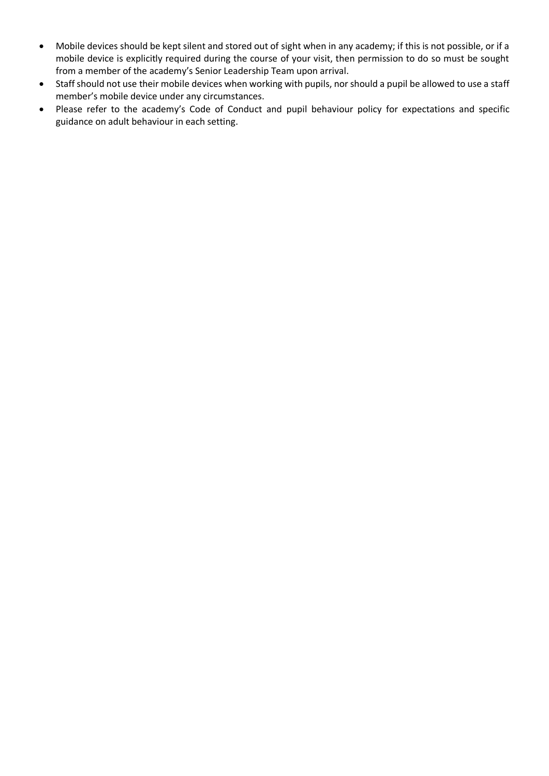- Mobile devices should be kept silent and stored out of sight when in any academy; if this is not possible, or if a mobile device is explicitly required during the course of your visit, then permission to do so must be sought from a member of the academy's Senior Leadership Team upon arrival.
- Staff should not use their mobile devices when working with pupils, nor should a pupil be allowed to use a staff member's mobile device under any circumstances.
- Please refer to the academy's Code of Conduct and pupil behaviour policy for expectations and specific guidance on adult behaviour in each setting.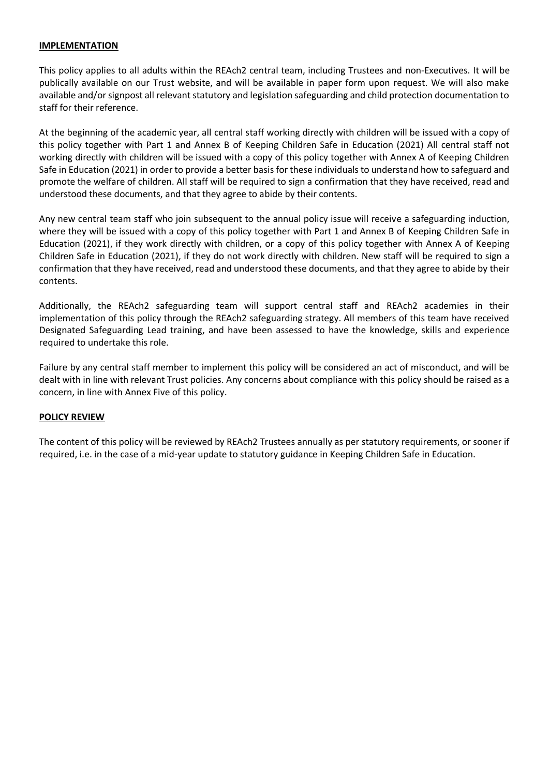#### **IMPLEMENTATION**

This policy applies to all adults within the REAch2 central team, including Trustees and non-Executives. It will be publically available on our Trust website, and will be available in paper form upon request. We will also make available and/or signpost all relevant statutory and legislation safeguarding and child protection documentation to staff for their reference.

At the beginning of the academic year, all central staff working directly with children will be issued with a copy of this policy together with Part 1 and Annex B of Keeping Children Safe in Education (2021) All central staff not working directly with children will be issued with a copy of this policy together with Annex A of Keeping Children Safe in Education (2021) in order to provide a better basis for these individuals to understand how to safeguard and promote the welfare of children. All staff will be required to sign a confirmation that they have received, read and understood these documents, and that they agree to abide by their contents.

Any new central team staff who join subsequent to the annual policy issue will receive a safeguarding induction, where they will be issued with a copy of this policy together with Part 1 and Annex B of Keeping Children Safe in Education (2021), if they work directly with children, or a copy of this policy together with Annex A of Keeping Children Safe in Education (2021), if they do not work directly with children. New staff will be required to sign a confirmation that they have received, read and understood these documents, and that they agree to abide by their contents.

Additionally, the REAch2 safeguarding team will support central staff and REAch2 academies in their implementation of this policy through the REAch2 safeguarding strategy. All members of this team have received Designated Safeguarding Lead training, and have been assessed to have the knowledge, skills and experience required to undertake this role.

Failure by any central staff member to implement this policy will be considered an act of misconduct, and will be dealt with in line with relevant Trust policies. Any concerns about compliance with this policy should be raised as a concern, in line with Annex Five of this policy.

#### **POLICY REVIEW**

The content of this policy will be reviewed by REAch2 Trustees annually as per statutory requirements, or sooner if required, i.e. in the case of a mid-year update to statutory guidance in Keeping Children Safe in Education.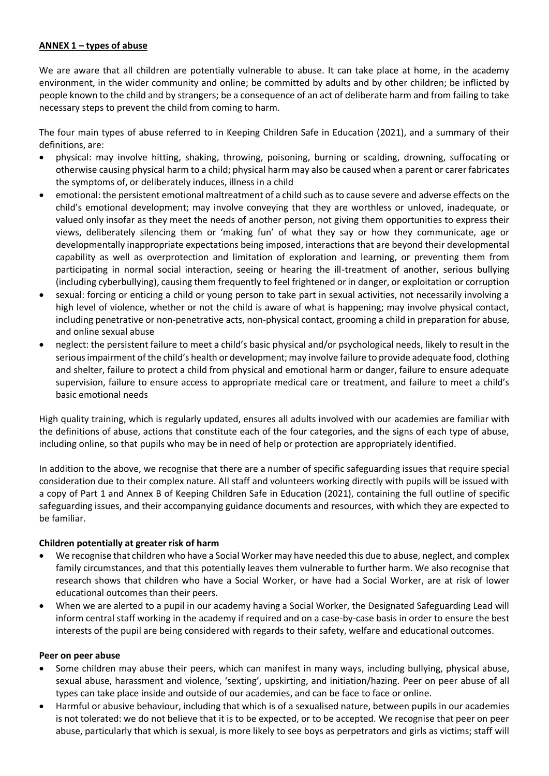## **ANNEX 1 – types of abuse**

We are aware that all children are potentially vulnerable to abuse. It can take place at home, in the academy environment, in the wider community and online; be committed by adults and by other children; be inflicted by people known to the child and by strangers; be a consequence of an act of deliberate harm and from failing to take necessary steps to prevent the child from coming to harm.

The four main types of abuse referred to in Keeping Children Safe in Education (2021), and a summary of their definitions, are:

- physical: may involve hitting, shaking, throwing, poisoning, burning or scalding, drowning, suffocating or otherwise causing physical harm to a child; physical harm may also be caused when a parent or carer fabricates the symptoms of, or deliberately induces, illness in a child
- emotional: the persistent emotional maltreatment of a child such as to cause severe and adverse effects on the child's emotional development; may involve conveying that they are worthless or unloved, inadequate, or valued only insofar as they meet the needs of another person, not giving them opportunities to express their views, deliberately silencing them or 'making fun' of what they say or how they communicate, age or developmentally inappropriate expectations being imposed, interactions that are beyond their developmental capability as well as overprotection and limitation of exploration and learning, or preventing them from participating in normal social interaction, seeing or hearing the ill-treatment of another, serious bullying (including cyberbullying), causing them frequently to feel frightened or in danger, or exploitation or corruption
- sexual: forcing or enticing a child or young person to take part in sexual activities, not necessarily involving a high level of violence, whether or not the child is aware of what is happening; may involve physical contact, including penetrative or non-penetrative acts, non-physical contact, grooming a child in preparation for abuse, and online sexual abuse
- neglect: the persistent failure to meet a child's basic physical and/or psychological needs, likely to result in the serious impairment of the child's health or development; may involve failure to provide adequate food, clothing and shelter, failure to protect a child from physical and emotional harm or danger, failure to ensure adequate supervision, failure to ensure access to appropriate medical care or treatment, and failure to meet a child's basic emotional needs

High quality training, which is regularly updated, ensures all adults involved with our academies are familiar with the definitions of abuse, actions that constitute each of the four categories, and the signs of each type of abuse, including online, so that pupils who may be in need of help or protection are appropriately identified.

In addition to the above, we recognise that there are a number of specific safeguarding issues that require special consideration due to their complex nature. All staff and volunteers working directly with pupils will be issued with a copy of Part 1 and Annex B of Keeping Children Safe in Education (2021), containing the full outline of specific safeguarding issues, and their accompanying guidance documents and resources, with which they are expected to be familiar.

#### **Children potentially at greater risk of harm**

- We recognise that children who have a Social Worker may have needed this due to abuse, neglect, and complex family circumstances, and that this potentially leaves them vulnerable to further harm. We also recognise that research shows that children who have a Social Worker, or have had a Social Worker, are at risk of lower educational outcomes than their peers.
- When we are alerted to a pupil in our academy having a Social Worker, the Designated Safeguarding Lead will inform central staff working in the academy if required and on a case-by-case basis in order to ensure the best interests of the pupil are being considered with regards to their safety, welfare and educational outcomes.

#### **Peer on peer abuse**

- Some children may abuse their peers, which can manifest in many ways, including bullying, physical abuse, sexual abuse, harassment and violence, 'sexting', upskirting, and initiation/hazing. Peer on peer abuse of all types can take place inside and outside of our academies, and can be face to face or online.
- Harmful or abusive behaviour, including that which is of a sexualised nature, between pupils in our academies is not tolerated: we do not believe that it is to be expected, or to be accepted. We recognise that peer on peer abuse, particularly that which is sexual, is more likely to see boys as perpetrators and girls as victims; staff will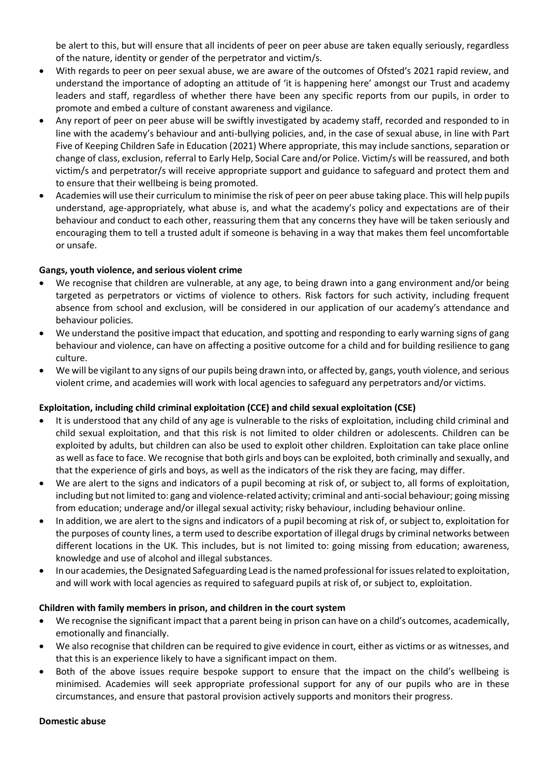be alert to this, but will ensure that all incidents of peer on peer abuse are taken equally seriously, regardless of the nature, identity or gender of the perpetrator and victim/s.

- With regards to peer on peer sexual abuse, we are aware of the outcomes of Ofsted's 2021 rapid review, and understand the importance of adopting an attitude of 'it is happening here' amongst our Trust and academy leaders and staff, regardless of whether there have been any specific reports from our pupils, in order to promote and embed a culture of constant awareness and vigilance.
- Any report of peer on peer abuse will be swiftly investigated by academy staff, recorded and responded to in line with the academy's behaviour and anti-bullying policies, and, in the case of sexual abuse, in line with Part Five of Keeping Children Safe in Education (2021) Where appropriate, this may include sanctions, separation or change of class, exclusion, referral to Early Help, Social Care and/or Police. Victim/s will be reassured, and both victim/s and perpetrator/s will receive appropriate support and guidance to safeguard and protect them and to ensure that their wellbeing is being promoted.
- Academies will use their curriculum to minimise the risk of peer on peer abuse taking place. This will help pupils understand, age-appropriately, what abuse is, and what the academy's policy and expectations are of their behaviour and conduct to each other, reassuring them that any concerns they have will be taken seriously and encouraging them to tell a trusted adult if someone is behaving in a way that makes them feel uncomfortable or unsafe.

## **Gangs, youth violence, and serious violent crime**

- We recognise that children are vulnerable, at any age, to being drawn into a gang environment and/or being targeted as perpetrators or victims of violence to others. Risk factors for such activity, including frequent absence from school and exclusion, will be considered in our application of our academy's attendance and behaviour policies.
- We understand the positive impact that education, and spotting and responding to early warning signs of gang behaviour and violence, can have on affecting a positive outcome for a child and for building resilience to gang culture.
- We will be vigilant to any signs of our pupils being drawn into, or affected by, gangs, youth violence, and serious violent crime, and academies will work with local agencies to safeguard any perpetrators and/or victims.

## **Exploitation, including child criminal exploitation (CCE) and child sexual exploitation (CSE)**

- It is understood that any child of any age is vulnerable to the risks of exploitation, including child criminal and child sexual exploitation, and that this risk is not limited to older children or adolescents. Children can be exploited by adults, but children can also be used to exploit other children. Exploitation can take place online as well as face to face. We recognise that both girls and boys can be exploited, both criminally and sexually, and that the experience of girls and boys, as well as the indicators of the risk they are facing, may differ.
- We are alert to the signs and indicators of a pupil becoming at risk of, or subject to, all forms of exploitation, including but not limited to: gang and violence-related activity; criminal and anti-social behaviour; going missing from education; underage and/or illegal sexual activity; risky behaviour, including behaviour online.
- In addition, we are alert to the signs and indicators of a pupil becoming at risk of, or subject to, exploitation for the purposes of county lines, a term used to describe exportation of illegal drugs by criminal networks between different locations in the UK. This includes, but is not limited to: going missing from education; awareness, knowledge and use of alcohol and illegal substances.
- In our academies, the Designated Safeguarding Lead is the named professional for issues related to exploitation, and will work with local agencies as required to safeguard pupils at risk of, or subject to, exploitation.

#### **Children with family members in prison, and children in the court system**

- We recognise the significant impact that a parent being in prison can have on a child's outcomes, academically, emotionally and financially.
- We also recognise that children can be required to give evidence in court, either as victims or as witnesses, and that this is an experience likely to have a significant impact on them.
- Both of the above issues require bespoke support to ensure that the impact on the child's wellbeing is minimised. Academies will seek appropriate professional support for any of our pupils who are in these circumstances, and ensure that pastoral provision actively supports and monitors their progress.

#### **Domestic abuse**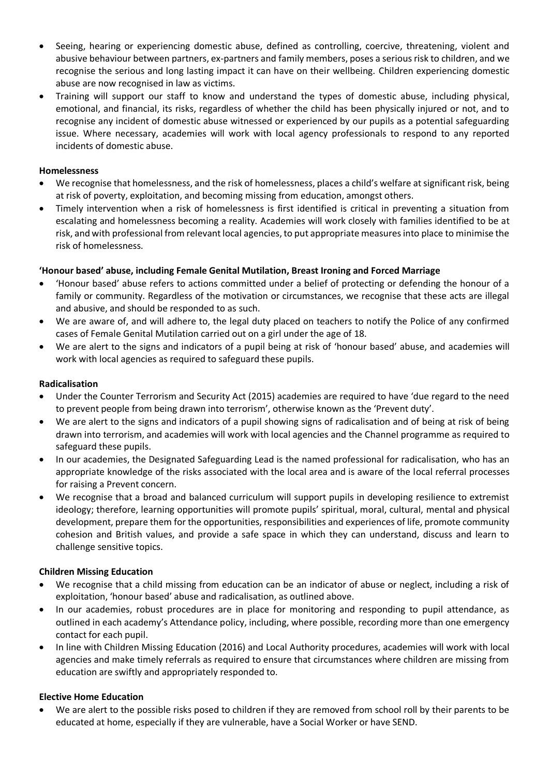- Seeing, hearing or experiencing domestic abuse, defined as controlling, coercive, threatening, violent and abusive behaviour between partners, ex-partners and family members, poses a serious risk to children, and we recognise the serious and long lasting impact it can have on their wellbeing. Children experiencing domestic abuse are now recognised in law as victims.
- Training will support our staff to know and understand the types of domestic abuse, including physical, emotional, and financial, its risks, regardless of whether the child has been physically injured or not, and to recognise any incident of domestic abuse witnessed or experienced by our pupils as a potential safeguarding issue. Where necessary, academies will work with local agency professionals to respond to any reported incidents of domestic abuse.

## **Homelessness**

- We recognise that homelessness, and the risk of homelessness, places a child's welfare at significant risk, being at risk of poverty, exploitation, and becoming missing from education, amongst others.
- Timely intervention when a risk of homelessness is first identified is critical in preventing a situation from escalating and homelessness becoming a reality. Academies will work closely with families identified to be at risk, and with professional from relevant local agencies, to put appropriate measures into place to minimise the risk of homelessness.

## **'Honour based' abuse, including Female Genital Mutilation, Breast Ironing and Forced Marriage**

- 'Honour based' abuse refers to actions committed under a belief of protecting or defending the honour of a family or community. Regardless of the motivation or circumstances, we recognise that these acts are illegal and abusive, and should be responded to as such.
- We are aware of, and will adhere to, the legal duty placed on teachers to notify the Police of any confirmed cases of Female Genital Mutilation carried out on a girl under the age of 18.
- We are alert to the signs and indicators of a pupil being at risk of 'honour based' abuse, and academies will work with local agencies as required to safeguard these pupils.

## **Radicalisation**

- Under the Counter Terrorism and Security Act (2015) academies are required to have 'due regard to the need to prevent people from being drawn into terrorism', otherwise known as the 'Prevent duty'.
- We are alert to the signs and indicators of a pupil showing signs of radicalisation and of being at risk of being drawn into terrorism, and academies will work with local agencies and the Channel programme as required to safeguard these pupils.
- In our academies, the Designated Safeguarding Lead is the named professional for radicalisation, who has an appropriate knowledge of the risks associated with the local area and is aware of the local referral processes for raising a Prevent concern.
- We recognise that a broad and balanced curriculum will support pupils in developing resilience to extremist ideology; therefore, learning opportunities will promote pupils' spiritual, moral, cultural, mental and physical development, prepare them for the opportunities, responsibilities and experiences of life, promote community cohesion and British values, and provide a safe space in which they can understand, discuss and learn to challenge sensitive topics.

#### **Children Missing Education**

- We recognise that a child missing from education can be an indicator of abuse or neglect, including a risk of exploitation, 'honour based' abuse and radicalisation, as outlined above.
- In our academies, robust procedures are in place for monitoring and responding to pupil attendance, as outlined in each academy's Attendance policy, including, where possible, recording more than one emergency contact for each pupil.
- In line with Children Missing Education (2016) and Local Authority procedures, academies will work with local agencies and make timely referrals as required to ensure that circumstances where children are missing from education are swiftly and appropriately responded to.

## **Elective Home Education**

 We are alert to the possible risks posed to children if they are removed from school roll by their parents to be educated at home, especially if they are vulnerable, have a Social Worker or have SEND.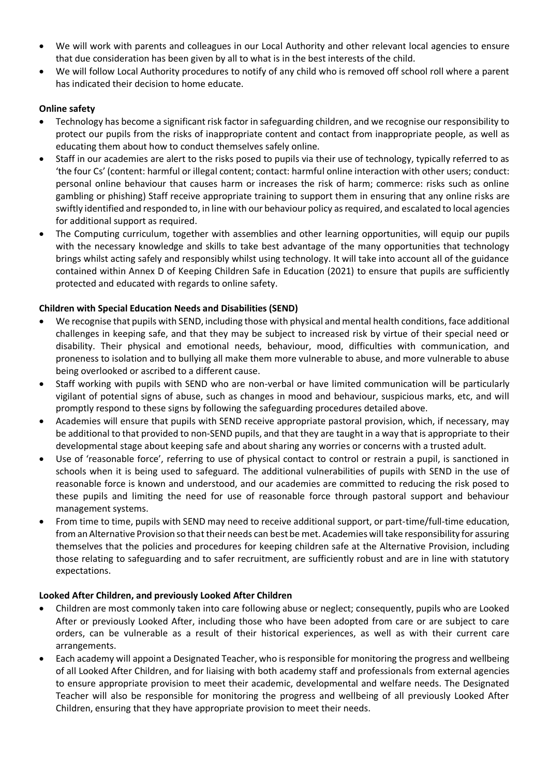- We will work with parents and colleagues in our Local Authority and other relevant local agencies to ensure that due consideration has been given by all to what is in the best interests of the child.
- We will follow Local Authority procedures to notify of any child who is removed off school roll where a parent has indicated their decision to home educate.

## **Online safety**

- Technology has become a significant risk factor in safeguarding children, and we recognise our responsibility to protect our pupils from the risks of inappropriate content and contact from inappropriate people, as well as educating them about how to conduct themselves safely online.
- Staff in our academies are alert to the risks posed to pupils via their use of technology, typically referred to as 'the four Cs' (content: harmful or illegal content; contact: harmful online interaction with other users; conduct: personal online behaviour that causes harm or increases the risk of harm; commerce: risks such as online gambling or phishing) Staff receive appropriate training to support them in ensuring that any online risks are swiftly identified and responded to, in line with our behaviour policy as required, and escalated to local agencies for additional support as required.
- The Computing curriculum, together with assemblies and other learning opportunities, will equip our pupils with the necessary knowledge and skills to take best advantage of the many opportunities that technology brings whilst acting safely and responsibly whilst using technology. It will take into account all of the guidance contained within Annex D of Keeping Children Safe in Education (2021) to ensure that pupils are sufficiently protected and educated with regards to online safety.

## **Children with Special Education Needs and Disabilities (SEND)**

- We recognise that pupils with SEND, including those with physical and mental health conditions, face additional challenges in keeping safe, and that they may be subject to increased risk by virtue of their special need or disability. Their physical and emotional needs, behaviour, mood, difficulties with communication, and proneness to isolation and to bullying all make them more vulnerable to abuse, and more vulnerable to abuse being overlooked or ascribed to a different cause.
- Staff working with pupils with SEND who are non-verbal or have limited communication will be particularly vigilant of potential signs of abuse, such as changes in mood and behaviour, suspicious marks, etc, and will promptly respond to these signs by following the safeguarding procedures detailed above.
- Academies will ensure that pupils with SEND receive appropriate pastoral provision, which, if necessary, may be additional to that provided to non-SEND pupils, and that they are taught in a way that is appropriate to their developmental stage about keeping safe and about sharing any worries or concerns with a trusted adult.
- Use of 'reasonable force', referring to use of physical contact to control or restrain a pupil, is sanctioned in schools when it is being used to safeguard. The additional vulnerabilities of pupils with SEND in the use of reasonable force is known and understood, and our academies are committed to reducing the risk posed to these pupils and limiting the need for use of reasonable force through pastoral support and behaviour management systems.
- From time to time, pupils with SEND may need to receive additional support, or part-time/full-time education, from an Alternative Provision so that their needs can best be met. Academies will take responsibility for assuring themselves that the policies and procedures for keeping children safe at the Alternative Provision, including those relating to safeguarding and to safer recruitment, are sufficiently robust and are in line with statutory expectations.

## **Looked After Children, and previously Looked After Children**

- Children are most commonly taken into care following abuse or neglect; consequently, pupils who are Looked After or previously Looked After, including those who have been adopted from care or are subject to care orders, can be vulnerable as a result of their historical experiences, as well as with their current care arrangements.
- Each academy will appoint a Designated Teacher, who is responsible for monitoring the progress and wellbeing of all Looked After Children, and for liaising with both academy staff and professionals from external agencies to ensure appropriate provision to meet their academic, developmental and welfare needs. The Designated Teacher will also be responsible for monitoring the progress and wellbeing of all previously Looked After Children, ensuring that they have appropriate provision to meet their needs.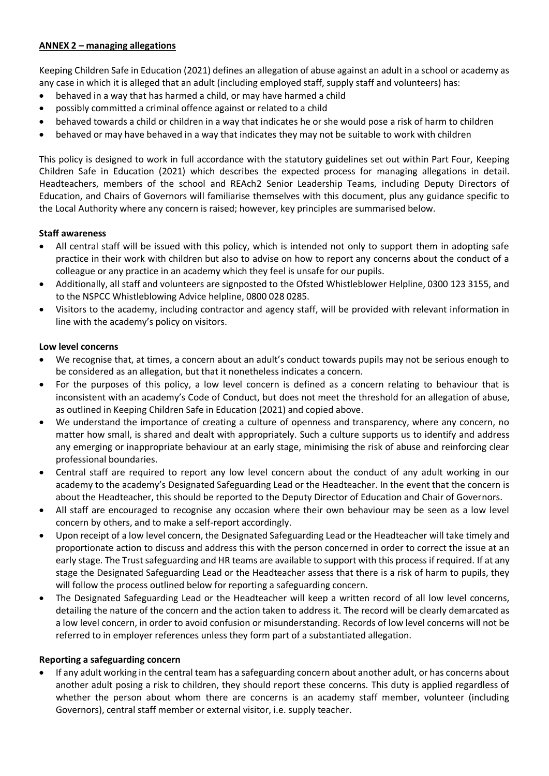## **ANNEX 2 – managing allegations**

Keeping Children Safe in Education (2021) defines an allegation of abuse against an adult in a school or academy as any case in which it is alleged that an adult (including employed staff, supply staff and volunteers) has:

- behaved in a way that has harmed a child, or may have harmed a child
- possibly committed a criminal offence against or related to a child
- behaved towards a child or children in a way that indicates he or she would pose a risk of harm to children
- behaved or may have behaved in a way that indicates they may not be suitable to work with children

This policy is designed to work in full accordance with the statutory guidelines set out within Part Four, Keeping Children Safe in Education (2021) which describes the expected process for managing allegations in detail. Headteachers, members of the school and REAch2 Senior Leadership Teams, including Deputy Directors of Education, and Chairs of Governors will familiarise themselves with this document, plus any guidance specific to the Local Authority where any concern is raised; however, key principles are summarised below.

## **Staff awareness**

- All central staff will be issued with this policy, which is intended not only to support them in adopting safe practice in their work with children but also to advise on how to report any concerns about the conduct of a colleague or any practice in an academy which they feel is unsafe for our pupils.
- Additionally, all staff and volunteers are signposted to the Ofsted Whistleblower Helpline, 0300 123 3155, and to the NSPCC Whistleblowing Advice helpline, 0800 028 0285.
- Visitors to the academy, including contractor and agency staff, will be provided with relevant information in line with the academy's policy on visitors.

## **Low level concerns**

- We recognise that, at times, a concern about an adult's conduct towards pupils may not be serious enough to be considered as an allegation, but that it nonetheless indicates a concern.
- For the purposes of this policy, a low level concern is defined as a concern relating to behaviour that is inconsistent with an academy's Code of Conduct, but does not meet the threshold for an allegation of abuse, as outlined in Keeping Children Safe in Education (2021) and copied above.
- We understand the importance of creating a culture of openness and transparency, where any concern, no matter how small, is shared and dealt with appropriately. Such a culture supports us to identify and address any emerging or inappropriate behaviour at an early stage, minimising the risk of abuse and reinforcing clear professional boundaries.
- Central staff are required to report any low level concern about the conduct of any adult working in our academy to the academy's Designated Safeguarding Lead or the Headteacher. In the event that the concern is about the Headteacher, this should be reported to the Deputy Director of Education and Chair of Governors.
- All staff are encouraged to recognise any occasion where their own behaviour may be seen as a low level concern by others, and to make a self-report accordingly.
- Upon receipt of a low level concern, the Designated Safeguarding Lead or the Headteacher will take timely and proportionate action to discuss and address this with the person concerned in order to correct the issue at an early stage. The Trust safeguarding and HR teams are available to support with this process if required. If at any stage the Designated Safeguarding Lead or the Headteacher assess that there is a risk of harm to pupils, they will follow the process outlined below for reporting a safeguarding concern.
- The Designated Safeguarding Lead or the Headteacher will keep a written record of all low level concerns, detailing the nature of the concern and the action taken to address it. The record will be clearly demarcated as a low level concern, in order to avoid confusion or misunderstanding. Records of low level concerns will not be referred to in employer references unless they form part of a substantiated allegation.

#### **Reporting a safeguarding concern**

 If any adult working in the central team has a safeguarding concern about another adult, or has concerns about another adult posing a risk to children, they should report these concerns. This duty is applied regardless of whether the person about whom there are concerns is an academy staff member, volunteer (including Governors), central staff member or external visitor, i.e. supply teacher.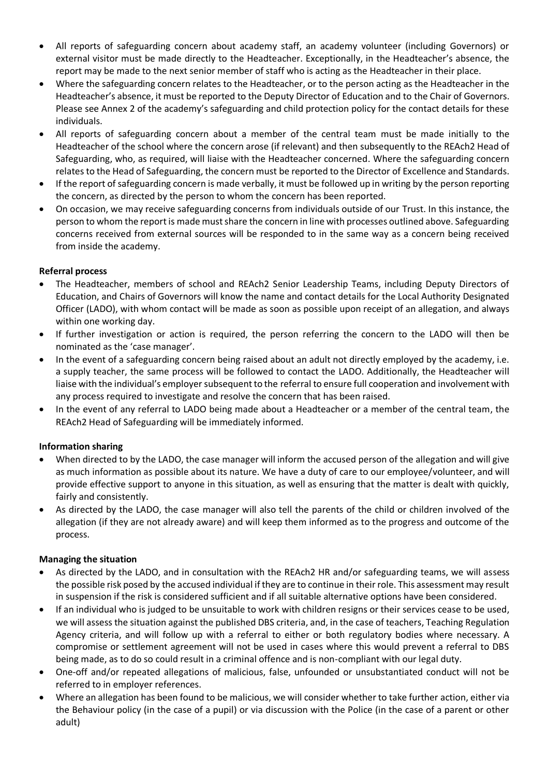- All reports of safeguarding concern about academy staff, an academy volunteer (including Governors) or external visitor must be made directly to the Headteacher. Exceptionally, in the Headteacher's absence, the report may be made to the next senior member of staff who is acting as the Headteacher in their place.
- Where the safeguarding concern relates to the Headteacher, or to the person acting as the Headteacher in the Headteacher's absence, it must be reported to the Deputy Director of Education and to the Chair of Governors. Please see Annex 2 of the academy's safeguarding and child protection policy for the contact details for these individuals.
- All reports of safeguarding concern about a member of the central team must be made initially to the Headteacher of the school where the concern arose (if relevant) and then subsequently to the REAch2 Head of Safeguarding, who, as required, will liaise with the Headteacher concerned. Where the safeguarding concern relates to the Head of Safeguarding, the concern must be reported to the Director of Excellence and Standards.
- If the report of safeguarding concern is made verbally, it must be followed up in writing by the person reporting the concern, as directed by the person to whom the concern has been reported.
- On occasion, we may receive safeguarding concerns from individuals outside of our Trust. In this instance, the person to whom the report is made must share the concern in line with processes outlined above. Safeguarding concerns received from external sources will be responded to in the same way as a concern being received from inside the academy.

## **Referral process**

- The Headteacher, members of school and REAch2 Senior Leadership Teams, including Deputy Directors of Education, and Chairs of Governors will know the name and contact details for the Local Authority Designated Officer (LADO), with whom contact will be made as soon as possible upon receipt of an allegation, and always within one working day.
- If further investigation or action is required, the person referring the concern to the LADO will then be nominated as the 'case manager'.
- In the event of a safeguarding concern being raised about an adult not directly employed by the academy, i.e. a supply teacher, the same process will be followed to contact the LADO. Additionally, the Headteacher will liaise with the individual's employer subsequent to the referral to ensure full cooperation and involvement with any process required to investigate and resolve the concern that has been raised.
- In the event of any referral to LADO being made about a Headteacher or a member of the central team, the REAch2 Head of Safeguarding will be immediately informed.

## **Information sharing**

- When directed to by the LADO, the case manager will inform the accused person of the allegation and will give as much information as possible about its nature. We have a duty of care to our employee/volunteer, and will provide effective support to anyone in this situation, as well as ensuring that the matter is dealt with quickly, fairly and consistently.
- As directed by the LADO, the case manager will also tell the parents of the child or children involved of the allegation (if they are not already aware) and will keep them informed as to the progress and outcome of the process.

## **Managing the situation**

- As directed by the LADO, and in consultation with the REAch2 HR and/or safeguarding teams, we will assess the possible risk posed by the accused individual if they are to continue in their role. This assessment may result in suspension if the risk is considered sufficient and if all suitable alternative options have been considered.
- If an individual who is judged to be unsuitable to work with children resigns or their services cease to be used, we will assess the situation against the published DBS criteria, and, in the case of teachers, Teaching Regulation Agency criteria, and will follow up with a referral to either or both regulatory bodies where necessary. A compromise or settlement agreement will not be used in cases where this would prevent a referral to DBS being made, as to do so could result in a criminal offence and is non-compliant with our legal duty.
- One-off and/or repeated allegations of malicious, false, unfounded or unsubstantiated conduct will not be referred to in employer references.
- Where an allegation has been found to be malicious, we will consider whether to take further action, either via the Behaviour policy (in the case of a pupil) or via discussion with the Police (in the case of a parent or other adult)